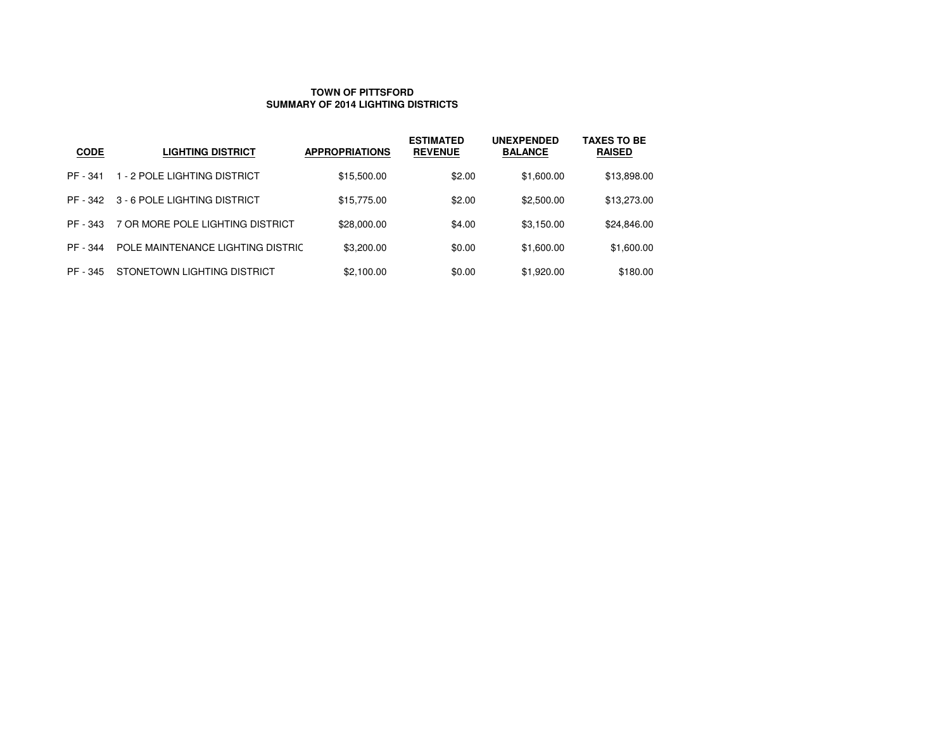# **TOWN OF PITTSFORDSUMMARY OF 2014 LIGHTING DISTRICTS**

| <b>CODE</b> | <b>LIGHTING DISTRICT</b>          | <b>APPROPRIATIONS</b> | <b>ESTIMATED</b><br><b>REVENUE</b> | <b>UNEXPENDED</b><br><b>BALANCE</b> | <b>TAXES TO BE</b><br><b>RAISED</b> |
|-------------|-----------------------------------|-----------------------|------------------------------------|-------------------------------------|-------------------------------------|
| PF - 341    | 1 - 2 POLE LIGHTING DISTRICT      | \$15,500.00           | \$2.00                             | \$1,600.00                          | \$13,898.00                         |
| PF - 342    | 3 - 6 POLE LIGHTING DISTRICT      | \$15,775.00           | \$2.00                             | \$2,500.00                          | \$13,273.00                         |
| PF - 343    | 7 OR MORE POLE LIGHTING DISTRICT  | \$28,000.00           | \$4.00                             | \$3,150.00                          | \$24,846.00                         |
| PF - 344    | POLE MAINTENANCE LIGHTING DISTRIC | \$3,200.00            | \$0.00                             | \$1,600.00                          | \$1,600.00                          |
| PF - 345    | STONETOWN LIGHTING DISTRICT       | \$2,100.00            | \$0.00                             | \$1,920.00                          | \$180.00                            |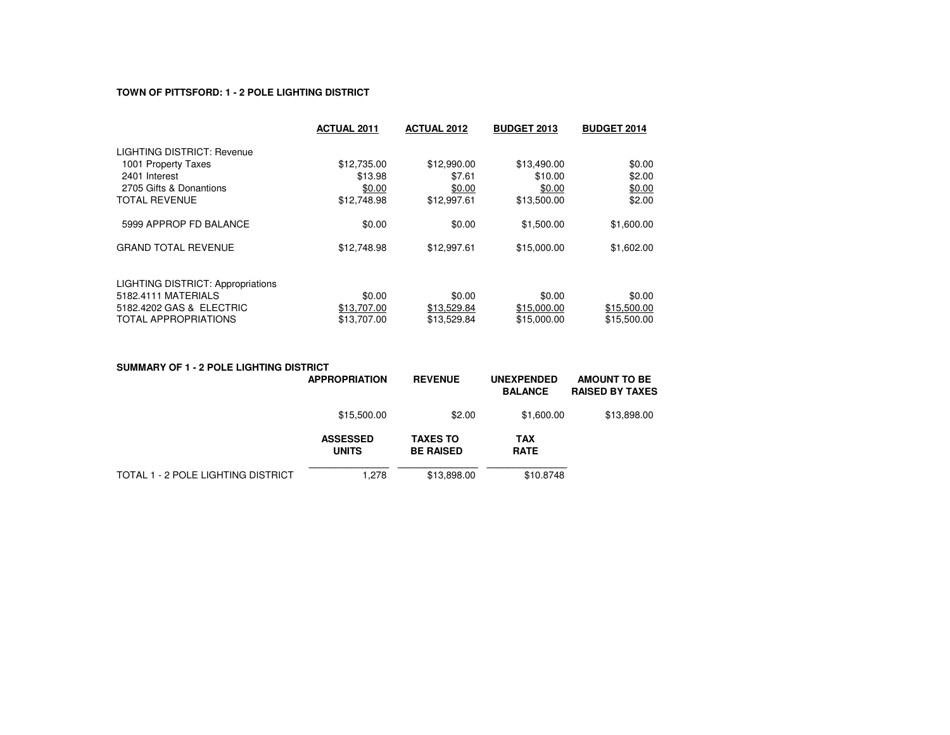# **TOWN OF PITTSFORD: 1 - 2 POLE LIGHTING DISTRICT**

| <b>ACTUAL 2011</b> | <b>ACTUAL 2012</b> | <b>BUDGET 2013</b> | <b>BUDGET 2014</b> |  |
|--------------------|--------------------|--------------------|--------------------|--|
|                    |                    |                    |                    |  |
| \$12,735.00        | \$12,990.00        | \$13,490.00        | \$0.00             |  |
| \$13.98            | \$7.61             | \$10.00            | \$2.00             |  |
| \$0.00             | \$0.00             | \$0.00             | \$0.00             |  |
| \$12,748.98        | \$12.997.61        | \$13,500.00        | \$2.00             |  |
| \$0.00             | \$0.00             | \$1,500.00         | \$1,600.00         |  |
| \$12,748.98        | \$12,997.61        | \$15,000.00        | \$1,602.00         |  |
|                    |                    |                    |                    |  |
| \$0.00             | \$0.00             | \$0.00             | \$0.00             |  |
| \$13,707.00        | \$13,529.84        | \$15,000.00        | \$15,500.00        |  |
| \$13,707.00        | \$13,529.84        | \$15,000.00        | \$15,500.00        |  |
|                    |                    |                    |                    |  |

| SUMMARY OF 1 - 2 POLE LIGHTING DISTRICT |                                 |                                     |                                     |                                               |  |
|-----------------------------------------|---------------------------------|-------------------------------------|-------------------------------------|-----------------------------------------------|--|
|                                         | <b>APPROPRIATION</b>            | <b>REVENUE</b>                      | <b>UNEXPENDED</b><br><b>BALANCE</b> | <b>AMOUNT TO BE</b><br><b>RAISED BY TAXES</b> |  |
|                                         | \$15,500.00                     | \$2.00                              | \$1,600.00                          | \$13,898.00                                   |  |
|                                         | <b>ASSESSED</b><br><b>UNITS</b> | <b>TAXES TO</b><br><b>BE RAISED</b> | <b>TAX</b><br><b>RATE</b>           |                                               |  |
| TOTAL 1 - 2 POLE LIGHTING DISTRICT      | 1.278                           | \$13,898.00                         | \$10.8748                           |                                               |  |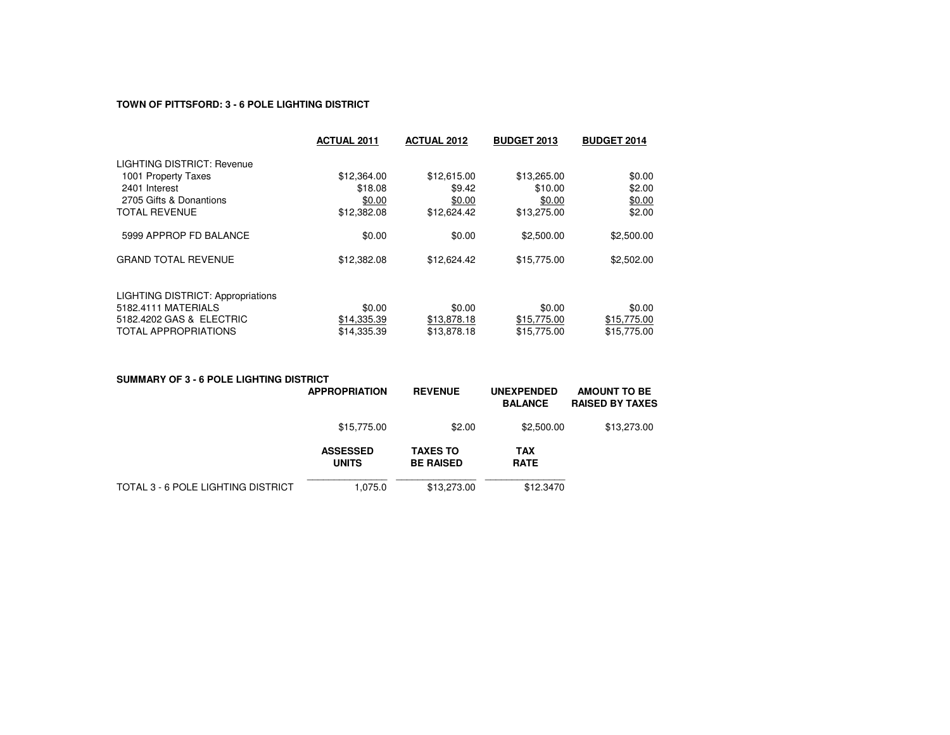## **TOWN OF PITTSFORD: 3 - 6 POLE LIGHTING DISTRICT**

|                                          | <b>ACTUAL 2011</b> | <b>ACTUAL 2012</b> | <b>BUDGET 2013</b> | <b>BUDGET 2014</b> |  |
|------------------------------------------|--------------------|--------------------|--------------------|--------------------|--|
| LIGHTING DISTRICT: Revenue               |                    |                    |                    |                    |  |
| 1001 Property Taxes                      | \$12,364.00        | \$12,615.00        | \$13,265.00        | \$0.00             |  |
| 2401 Interest                            | \$18.08            | \$9.42             | \$10.00            | \$2.00             |  |
| 2705 Gifts & Donantions                  | \$0.00             | \$0.00             | \$0.00             | \$0.00             |  |
| <b>TOTAL REVENUE</b>                     | \$12,382.08        | \$12,624.42        | \$13,275.00        | \$2.00             |  |
| 5999 APPROP FD BALANCE                   | \$0.00             | \$0.00             | \$2,500.00         | \$2,500.00         |  |
| <b>GRAND TOTAL REVENUE</b>               | \$12,382.08        | \$12,624.42        | \$15,775.00        | \$2,502.00         |  |
| <b>LIGHTING DISTRICT: Appropriations</b> |                    |                    |                    |                    |  |
| 5182.4111 MATERIALS                      | \$0.00             | \$0.00             | \$0.00             | \$0.00             |  |
| 5182.4202 GAS & ELECTRIC                 | \$14,335.39        | \$13,878.18        | \$15,775.00        | \$15,775.00        |  |
| <b>TOTAL APPROPRIATIONS</b>              | \$14,335.39        | \$13,878.18        | \$15,775.00        | \$15,775.00        |  |

## **SUMMARY OF 3 - 6 POLE LIGHTING DISTRICT**

|                                    | <b>APPROPRIATION</b>            | <b>REVENUE</b>                      | <b>UNEXPENDED</b><br><b>BALANCE</b> | <b>AMOUNT TO BE</b><br><b>RAISED BY TAXES</b> |  |
|------------------------------------|---------------------------------|-------------------------------------|-------------------------------------|-----------------------------------------------|--|
|                                    | \$15,775.00                     | \$2.00                              | \$2,500.00                          | \$13,273.00                                   |  |
|                                    | <b>ASSESSED</b><br><b>UNITS</b> | <b>TAXES TO</b><br><b>BE RAISED</b> | <b>TAX</b><br><b>RATE</b>           |                                               |  |
| TOTAL 3 - 6 POLE LIGHTING DISTRICT | 1.075.0                         | \$13,273,00                         | \$12,3470                           |                                               |  |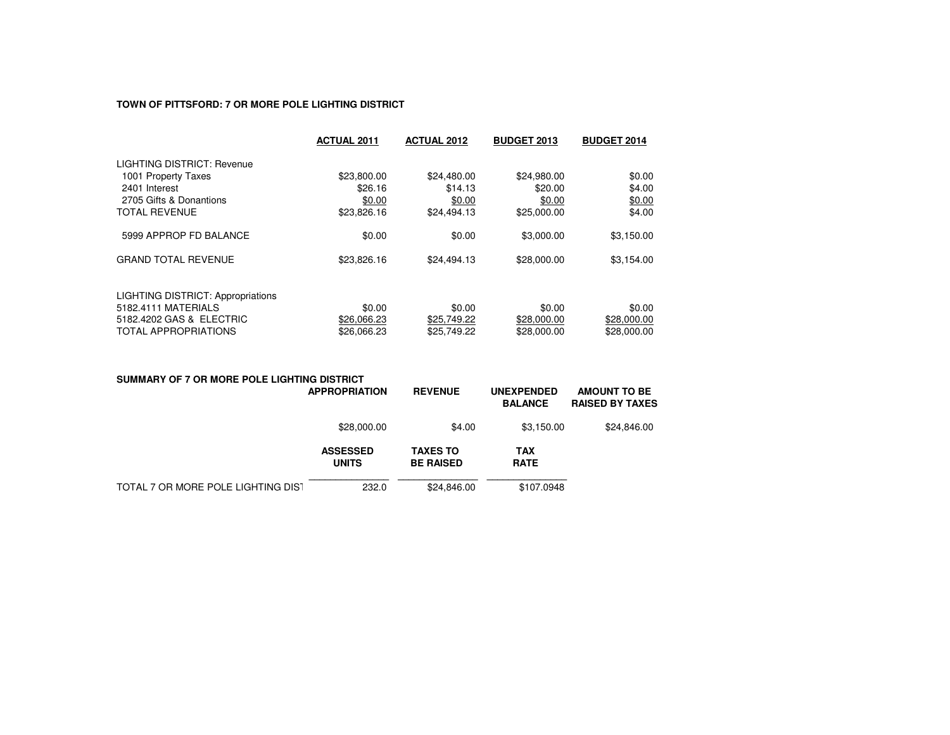#### **TOWN OF PITTSFORD: 7 OR MORE POLE LIGHTING DISTRICT**

|                                          | <b>ACTUAL 2011</b> | <b>ACTUAL 2012</b> | <b>BUDGET 2013</b> | <b>BUDGET 2014</b> |  |
|------------------------------------------|--------------------|--------------------|--------------------|--------------------|--|
| LIGHTING DISTRICT: Revenue               |                    |                    |                    |                    |  |
| 1001 Property Taxes                      | \$23,800.00        | \$24,480.00        | \$24,980.00        | \$0.00             |  |
| 2401 Interest                            | \$26.16            | \$14.13            | \$20.00            | \$4.00             |  |
| 2705 Gifts & Donantions                  | \$0.00             | \$0.00             | \$0.00             | \$0.00             |  |
| <b>TOTAL REVENUE</b>                     | \$23,826.16        | \$24.494.13        | \$25,000.00        | \$4.00             |  |
| 5999 APPROP FD BALANCE                   | \$0.00             | \$0.00             | \$3,000.00         | \$3,150.00         |  |
| <b>GRAND TOTAL REVENUE</b>               | \$23,826.16        | \$24,494.13        | \$28,000.00        | \$3,154.00         |  |
| <b>LIGHTING DISTRICT: Appropriations</b> |                    |                    |                    |                    |  |
| 5182.4111 MATERIALS                      | \$0.00             | \$0.00             | \$0.00             | \$0.00             |  |
| 5182.4202 GAS & ELECTRIC                 | \$26,066.23        | \$25,749.22        | \$28,000.00        | \$28,000.00        |  |
| TOTAL APPROPRIATIONS                     | \$26,066.23        | \$25,749.22        | \$28,000.00        | \$28,000.00        |  |

## **SUMMARY OF 7 OR MORE POLE LIGHTING DISTRICT**

|                                    | <b>APPROPRIATION</b>            | <b>REVENUE</b>                      | <b>UNEXPENDED</b><br><b>BALANCE</b> | <b>AMOUNT TO BE</b><br><b>RAISED BY TAXES</b> |  |
|------------------------------------|---------------------------------|-------------------------------------|-------------------------------------|-----------------------------------------------|--|
|                                    | \$28,000.00                     | \$4.00                              | \$3.150.00                          | \$24,846.00                                   |  |
|                                    | <b>ASSESSED</b><br><b>UNITS</b> | <b>TAXES TO</b><br><b>BE RAISED</b> | <b>TAX</b><br><b>RATE</b>           |                                               |  |
| TOTAL 7 OR MORE POLE LIGHTING DIST | 232.0                           | \$24,846,00                         | \$107.0948                          |                                               |  |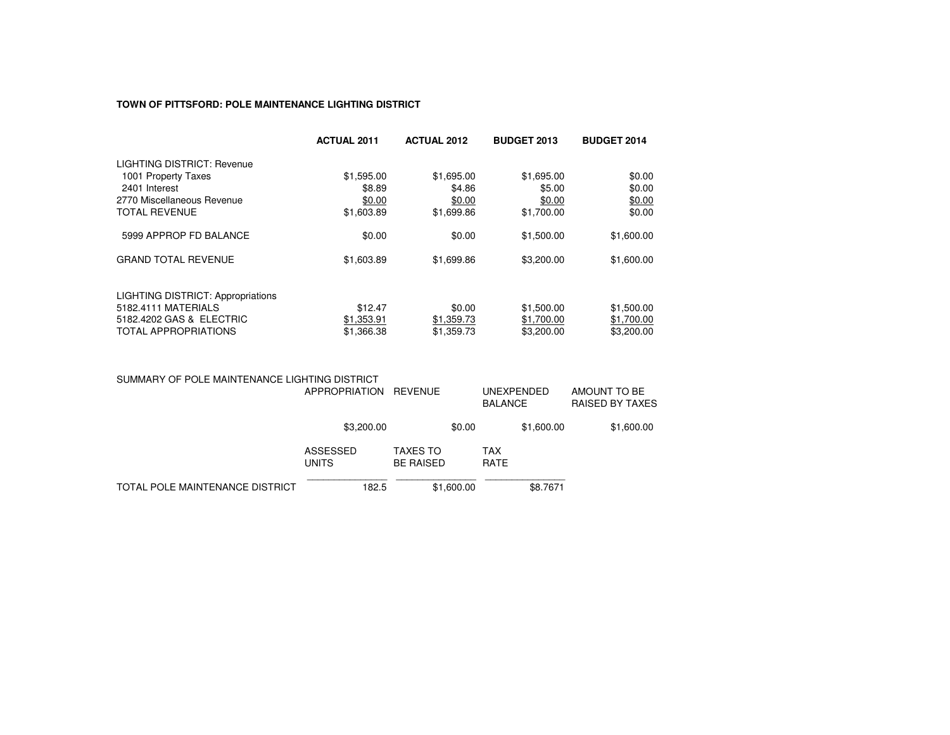#### **TOWN OF PITTSFORD: POLE MAINTENANCE LIGHTING DISTRICT**

|                                          | <b>ACTUAL 2011</b> | <b>ACTUAL 2012</b> | <b>BUDGET 2013</b> | <b>BUDGET 2014</b> |
|------------------------------------------|--------------------|--------------------|--------------------|--------------------|
| LIGHTING DISTRICT: Revenue               |                    |                    |                    |                    |
| 1001 Property Taxes                      | \$1,595.00         | \$1,695.00         | \$1,695.00         | \$0.00             |
| 2401 Interest                            | \$8.89             | \$4.86             | \$5.00             | \$0.00             |
| 2770 Miscellaneous Revenue               | \$0.00             | \$0.00             | \$0.00             | \$0.00             |
| <b>TOTAL REVENUE</b>                     | \$1,603.89         | \$1,699.86         | \$1,700.00         | \$0.00             |
| 5999 APPROP FD BALANCE                   | \$0.00             | \$0.00             | \$1,500.00         | \$1,600.00         |
| <b>GRAND TOTAL REVENUE</b>               | \$1,603.89         | \$1,699.86         | \$3,200.00         | \$1,600.00         |
| <b>LIGHTING DISTRICT: Appropriations</b> |                    |                    |                    |                    |
| 5182.4111 MATERIALS                      | \$12.47            | \$0.00             | \$1,500.00         | \$1,500.00         |
| 5182.4202 GAS & ELECTRIC                 | \$1,353.91         | \$1,359.73         | \$1,700.00         | \$1,700.00         |
| <b>TOTAL APPROPRIATIONS</b>              | \$1,366.38         | \$1,359.73         | \$3,200.00         | \$3,200,00         |

## SUMMARY OF POLE MAINTENANCE LIGHTING DISTRICT

|                                 | APPROPRIATION REVENUE |                                     | <b>UNEXPENDED</b><br><b>BALANCE</b> | AMOUNT TO BE<br>RAISED BY TAXES |  |
|---------------------------------|-----------------------|-------------------------------------|-------------------------------------|---------------------------------|--|
|                                 | \$3,200.00            | \$0.00                              | \$1,600.00                          | \$1,600.00                      |  |
|                                 | ASSESSED<br>UNITS     | <b>TAXES TO</b><br><b>BE RAISED</b> | TAX<br><b>RATE</b>                  |                                 |  |
| TOTAL POLE MAINTENANCE DISTRICT | 182.5                 | \$1,600.00                          | \$8.7671                            |                                 |  |